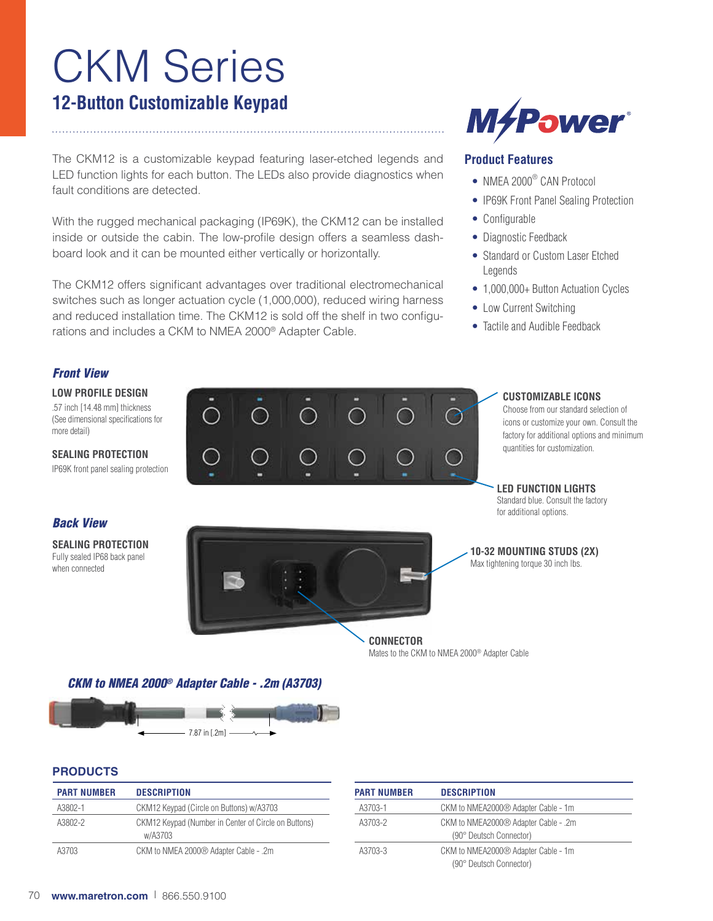# CKM Series **12-Button Customizable Keypad**

The CKM12 is a customizable keypad featuring laser-etched legends and LED function lights for each button. The LEDs also provide diagnostics when fault conditions are detected.

With the rugged mechanical packaging (IP69K), the CKM12 can be installed inside or outside the cabin. The low-profile design offers a seamless dashboard look and it can be mounted either vertically or horizontally.

The CKM12 offers significant advantages over traditional electromechanical switches such as longer actuation cycle (1,000,000), reduced wiring harness and reduced installation time. The CKM12 is sold off the shelf in two configurations and includes a CKM to NMEA 2000® Adapter Cable.



## **Product Features**

- NMEA 2000<sup>®</sup> CAN Protocol
- IP69K Front Panel Sealing Protection
- Configurable
- Diagnostic Feedback
- Standard or Custom Laser Etched Legends
- 1,000,000+ Button Actuation Cycles
- Low Current Switching
- Tactile and Audible Feedback

### *Front View*

**LOW PROFILE DESIGN**

.57 inch [14.48 mm] thickness (See dimensional specifications for more detail)

**SEALING PROTECTION** IP69K front panel sealing protection

#### *Back View*

**SEALING PROTECTION** Fully sealed IP68 back panel when connected



#### **CUSTOMIZABLE ICONS**

Choose from our standard selection of icons or customize your own. Consult the factory for additional options and minimum quantities for customization.

**LED FUNCTION LIGHTS**  Standard blue. Consult the factory for additional options.

**10-32 MOUNTING STUDS (2X)** Max tightening torque 30 inch lbs.

**CONNECTOR** Mates to the CKM to NMEA 2000® Adapter Cable

*CKM to NMEA 2000® Adapter Cable - .2m (A3703)*



#### **PRODUCTS**

| <b>PART NUMBER</b> | <b>DESCRIPTION</b>                                              |
|--------------------|-----------------------------------------------------------------|
| A3802-1            | CKM12 Keypad (Circle on Buttons) w/A3703                        |
| A3802-2            | CKM12 Keypad (Number in Center of Circle on Buttons)<br>w/A3703 |
| A3703              | CKM to NMEA 2000® Adapter Cable - .2m                           |

| <b>PART NUMBER</b> | <b>DESCRIPTION</b>                                              |
|--------------------|-----------------------------------------------------------------|
| A3703-1            | CKM to NMEA2000® Adapter Cable - 1m                             |
| A3703-2            | CKM to NMEA2000® Adapter Cable - .2m<br>(90° Deutsch Connector) |
| A3703-3            | CKM to NMEA2000® Adapter Cable - 1m<br>(90° Deutsch Connector)  |